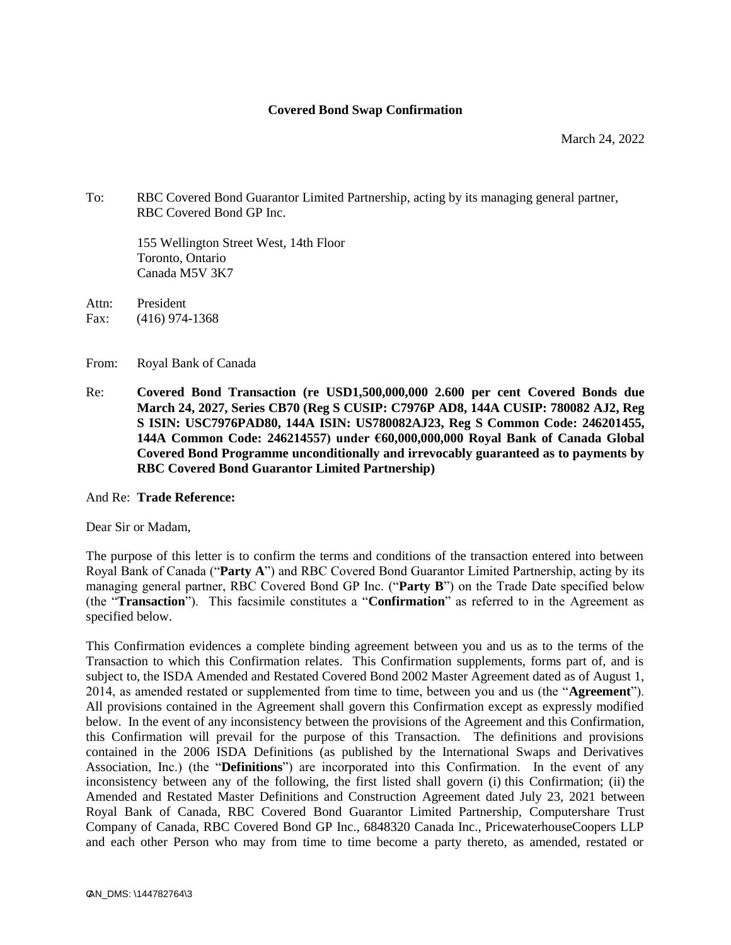#### **Covered Bond Swap Confirmation**

To: RBC Covered Bond Guarantor Limited Partnership, acting by its managing general partner, RBC Covered Bond GP Inc.

155 Wellington Street West, 14th Floor Toronto, Ontario Canada M5V 3K7

Attn: President Fax: (416) 974-1368

From: Royal Bank of Canada

Re: **Covered Bond Transaction (re USD1,500,000,000 2.600 per cent Covered Bonds due March 24, 2027, Series CB70 (Reg S CUSIP: C7976P AD8, 144A CUSIP: 780082 AJ2, Reg S ISIN: USC7976PAD80, 144A ISIN: US780082AJ23, Reg S Common Code: 246201455, 144A Common Code: 246214557) under €60,000,000,000 Royal Bank of Canada Global Covered Bond Programme unconditionally and irrevocably guaranteed as to payments by RBC Covered Bond Guarantor Limited Partnership)**

And Re: **Trade Reference:** 

Dear Sir or Madam,

The purpose of this letter is to confirm the terms and conditions of the transaction entered into between Royal Bank of Canada ("**Party A**") and RBC Covered Bond Guarantor Limited Partnership, acting by its managing general partner, RBC Covered Bond GP Inc. ("**Party B**") on the Trade Date specified below (the "**Transaction**"). This facsimile constitutes a "**Confirmation**" as referred to in the Agreement as specified below.

This Confirmation evidences a complete binding agreement between you and us as to the terms of the Transaction to which this Confirmation relates. This Confirmation supplements, forms part of, and is subject to, the ISDA Amended and Restated Covered Bond 2002 Master Agreement dated as of August 1, 2014, as amended restated or supplemented from time to time, between you and us (the "**Agreement**"). All provisions contained in the Agreement shall govern this Confirmation except as expressly modified below. In the event of any inconsistency between the provisions of the Agreement and this Confirmation, this Confirmation will prevail for the purpose of this Transaction. The definitions and provisions contained in the 2006 ISDA Definitions (as published by the International Swaps and Derivatives Association, Inc.) (the "**Definitions**") are incorporated into this Confirmation. In the event of any inconsistency between any of the following, the first listed shall govern (i) this Confirmation; (ii) the Amended and Restated Master Definitions and Construction Agreement dated July 23, 2021 between Royal Bank of Canada, RBC Covered Bond Guarantor Limited Partnership, Computershare Trust Company of Canada, RBC Covered Bond GP Inc., 6848320 Canada Inc., PricewaterhouseCoopers LLP and each other Person who may from time to time become a party thereto, as amended, restated or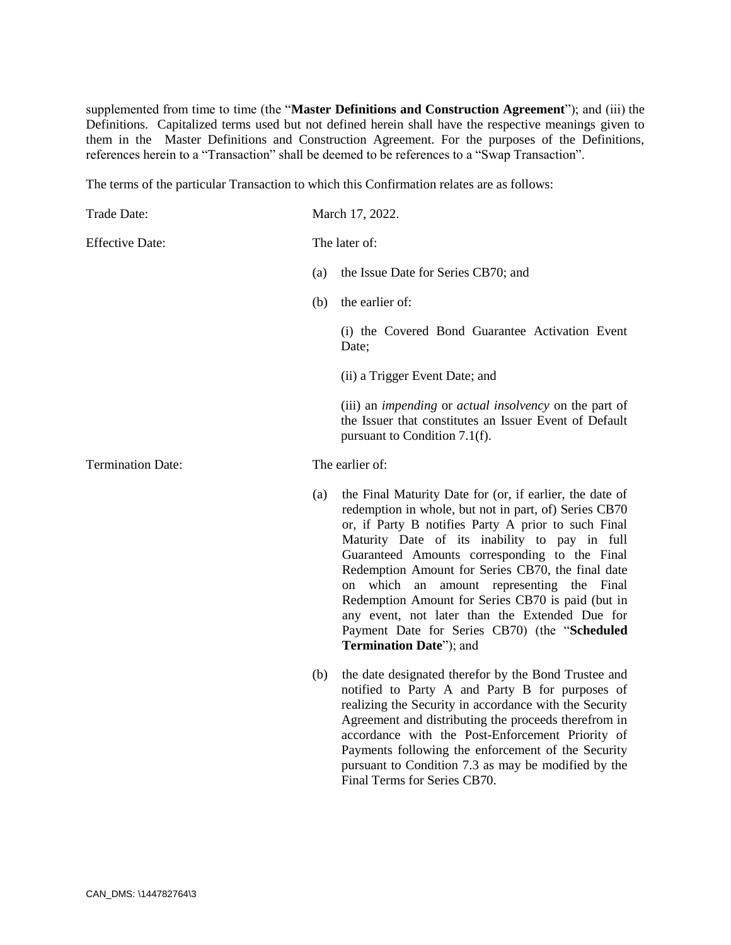supplemented from time to time (the "**Master Definitions and Construction Agreement**"); and (iii) the Definitions. Capitalized terms used but not defined herein shall have the respective meanings given to them in the Master Definitions and Construction Agreement. For the purposes of the Definitions, references herein to a "Transaction" shall be deemed to be references to a "Swap Transaction".

The terms of the particular Transaction to which this Confirmation relates are as follows:

| Trade Date:              | March 17, 2022. |                                                                                                                                                                                                                                                                                                                                                                                                                                                                                                                                                                       |
|--------------------------|-----------------|-----------------------------------------------------------------------------------------------------------------------------------------------------------------------------------------------------------------------------------------------------------------------------------------------------------------------------------------------------------------------------------------------------------------------------------------------------------------------------------------------------------------------------------------------------------------------|
| <b>Effective Date:</b>   | The later of:   |                                                                                                                                                                                                                                                                                                                                                                                                                                                                                                                                                                       |
|                          | (a)             | the Issue Date for Series CB70; and                                                                                                                                                                                                                                                                                                                                                                                                                                                                                                                                   |
|                          | (b)             | the earlier of:                                                                                                                                                                                                                                                                                                                                                                                                                                                                                                                                                       |
|                          |                 | (i) the Covered Bond Guarantee Activation Event<br>Date;                                                                                                                                                                                                                                                                                                                                                                                                                                                                                                              |
|                          |                 | (ii) a Trigger Event Date; and                                                                                                                                                                                                                                                                                                                                                                                                                                                                                                                                        |
|                          |                 | (iii) an <i>impending</i> or <i>actual insolvency</i> on the part of<br>the Issuer that constitutes an Issuer Event of Default<br>pursuant to Condition 7.1(f).                                                                                                                                                                                                                                                                                                                                                                                                       |
| <b>Termination Date:</b> | The earlier of: |                                                                                                                                                                                                                                                                                                                                                                                                                                                                                                                                                                       |
|                          | (a)             | the Final Maturity Date for (or, if earlier, the date of<br>redemption in whole, but not in part, of) Series CB70<br>or, if Party B notifies Party A prior to such Final<br>Maturity Date of its inability to pay in full<br>Guaranteed Amounts corresponding to the Final<br>Redemption Amount for Series CB70, the final date<br>which an<br>amount representing the Final<br>on<br>Redemption Amount for Series CB70 is paid (but in<br>any event, not later than the Extended Due for<br>Payment Date for Series CB70) (the "Scheduled<br>Termination Date"); and |
|                          | (b)             | the date designated therefor by the Bond Trustee and<br>notified to Party A and Party B for purposes of<br>realizing the Security in accordance with the Security<br>Agreement and distributing the proceeds therefrom in<br>accordance with the Post-Enforcement Priority of<br>Payments following the enforcement of the Security                                                                                                                                                                                                                                   |

pursuant to Condition 7.3 as may be modified by the

Final Terms for Series CB70.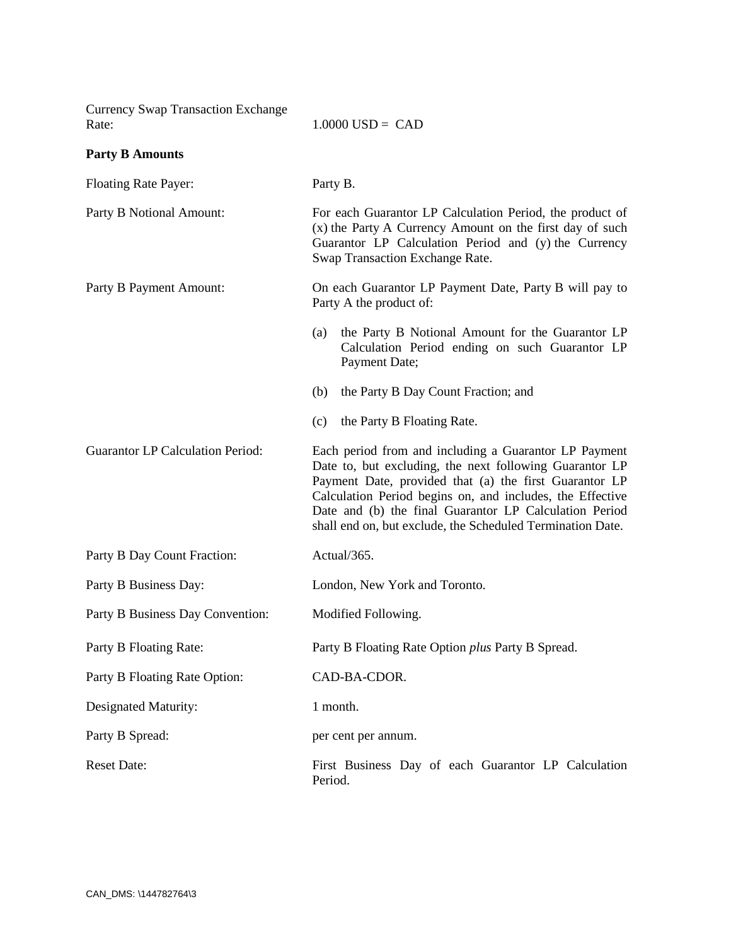| <b>Currency Swap Transaction Exchange</b><br>Rate: | $1.0000$ USD = CAD                                                                                                                                                                                                                                                                                                                                              |  |
|----------------------------------------------------|-----------------------------------------------------------------------------------------------------------------------------------------------------------------------------------------------------------------------------------------------------------------------------------------------------------------------------------------------------------------|--|
| <b>Party B Amounts</b>                             |                                                                                                                                                                                                                                                                                                                                                                 |  |
| <b>Floating Rate Payer:</b>                        | Party B.                                                                                                                                                                                                                                                                                                                                                        |  |
| Party B Notional Amount:                           | For each Guarantor LP Calculation Period, the product of<br>(x) the Party A Currency Amount on the first day of such<br>Guarantor LP Calculation Period and (y) the Currency<br>Swap Transaction Exchange Rate.                                                                                                                                                 |  |
| Party B Payment Amount:                            | On each Guarantor LP Payment Date, Party B will pay to<br>Party A the product of:                                                                                                                                                                                                                                                                               |  |
|                                                    | the Party B Notional Amount for the Guarantor LP<br>(a)<br>Calculation Period ending on such Guarantor LP<br>Payment Date;                                                                                                                                                                                                                                      |  |
|                                                    | the Party B Day Count Fraction; and<br>(b)                                                                                                                                                                                                                                                                                                                      |  |
|                                                    | the Party B Floating Rate.<br>(c)                                                                                                                                                                                                                                                                                                                               |  |
| <b>Guarantor LP Calculation Period:</b>            | Each period from and including a Guarantor LP Payment<br>Date to, but excluding, the next following Guarantor LP<br>Payment Date, provided that (a) the first Guarantor LP<br>Calculation Period begins on, and includes, the Effective<br>Date and (b) the final Guarantor LP Calculation Period<br>shall end on, but exclude, the Scheduled Termination Date. |  |
| Party B Day Count Fraction:                        | Actual/365.                                                                                                                                                                                                                                                                                                                                                     |  |
| Party B Business Day:                              | London, New York and Toronto.                                                                                                                                                                                                                                                                                                                                   |  |
| Party B Business Day Convention:                   | Modified Following.                                                                                                                                                                                                                                                                                                                                             |  |
| Party B Floating Rate:                             | Party B Floating Rate Option plus Party B Spread.                                                                                                                                                                                                                                                                                                               |  |
| Party B Floating Rate Option:                      | CAD-BA-CDOR.                                                                                                                                                                                                                                                                                                                                                    |  |
| Designated Maturity:                               | 1 month.                                                                                                                                                                                                                                                                                                                                                        |  |
| Party B Spread:                                    | per cent per annum.                                                                                                                                                                                                                                                                                                                                             |  |
| <b>Reset Date:</b>                                 | First Business Day of each Guarantor LP Calculation<br>Period.                                                                                                                                                                                                                                                                                                  |  |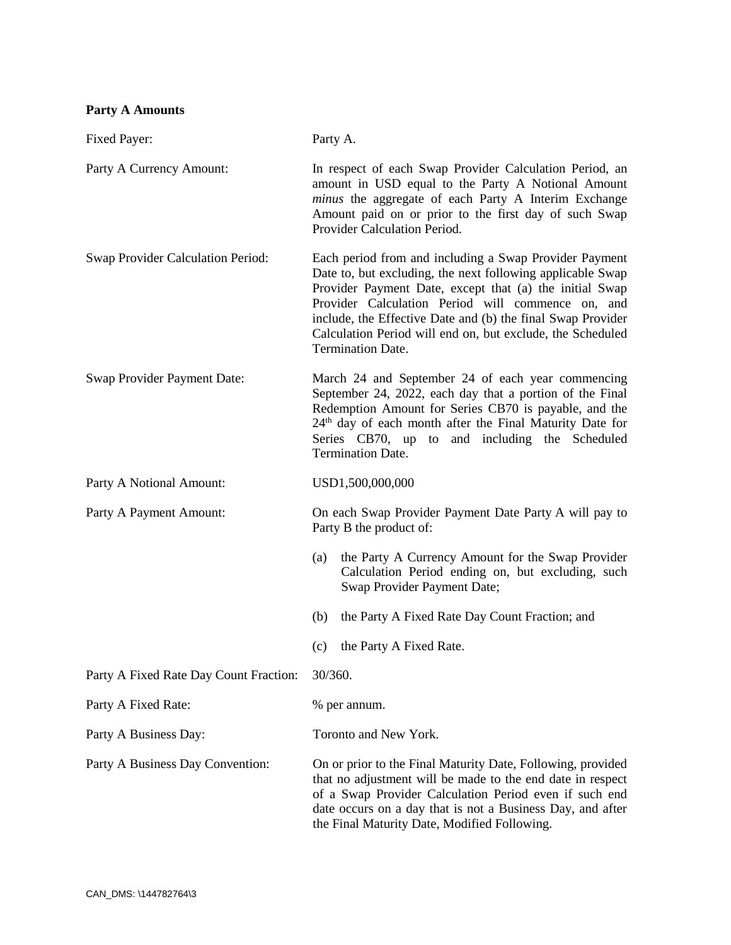# **Party A Amounts**

| Fixed Payer:                           | Party A.                                                                                                                                                                                                                                                                                                                                                                                      |  |
|----------------------------------------|-----------------------------------------------------------------------------------------------------------------------------------------------------------------------------------------------------------------------------------------------------------------------------------------------------------------------------------------------------------------------------------------------|--|
| Party A Currency Amount:               | In respect of each Swap Provider Calculation Period, an<br>amount in USD equal to the Party A Notional Amount<br>minus the aggregate of each Party A Interim Exchange<br>Amount paid on or prior to the first day of such Swap<br>Provider Calculation Period.                                                                                                                                |  |
| Swap Provider Calculation Period:      | Each period from and including a Swap Provider Payment<br>Date to, but excluding, the next following applicable Swap<br>Provider Payment Date, except that (a) the initial Swap<br>Provider Calculation Period will commence on, and<br>include, the Effective Date and (b) the final Swap Provider<br>Calculation Period will end on, but exclude, the Scheduled<br><b>Termination Date.</b> |  |
| Swap Provider Payment Date:            | March 24 and September 24 of each year commencing<br>September 24, 2022, each day that a portion of the Final<br>Redemption Amount for Series CB70 is payable, and the<br>24 <sup>th</sup> day of each month after the Final Maturity Date for<br>Series CB70, up to and including the Scheduled<br><b>Termination Date.</b>                                                                  |  |
| Party A Notional Amount:               | USD1,500,000,000                                                                                                                                                                                                                                                                                                                                                                              |  |
| Party A Payment Amount:                | On each Swap Provider Payment Date Party A will pay to<br>Party B the product of:                                                                                                                                                                                                                                                                                                             |  |
|                                        | the Party A Currency Amount for the Swap Provider<br>(a)<br>Calculation Period ending on, but excluding, such<br>Swap Provider Payment Date;                                                                                                                                                                                                                                                  |  |
|                                        | the Party A Fixed Rate Day Count Fraction; and<br>(b)                                                                                                                                                                                                                                                                                                                                         |  |
|                                        | the Party A Fixed Rate.<br>(c)                                                                                                                                                                                                                                                                                                                                                                |  |
| Party A Fixed Rate Day Count Fraction: | 30/360.                                                                                                                                                                                                                                                                                                                                                                                       |  |
| Party A Fixed Rate:                    | % per annum.                                                                                                                                                                                                                                                                                                                                                                                  |  |
| Party A Business Day:                  | Toronto and New York.                                                                                                                                                                                                                                                                                                                                                                         |  |
| Party A Business Day Convention:       | On or prior to the Final Maturity Date, Following, provided<br>that no adjustment will be made to the end date in respect<br>of a Swap Provider Calculation Period even if such end<br>date occurs on a day that is not a Business Day, and after<br>the Final Maturity Date, Modified Following.                                                                                             |  |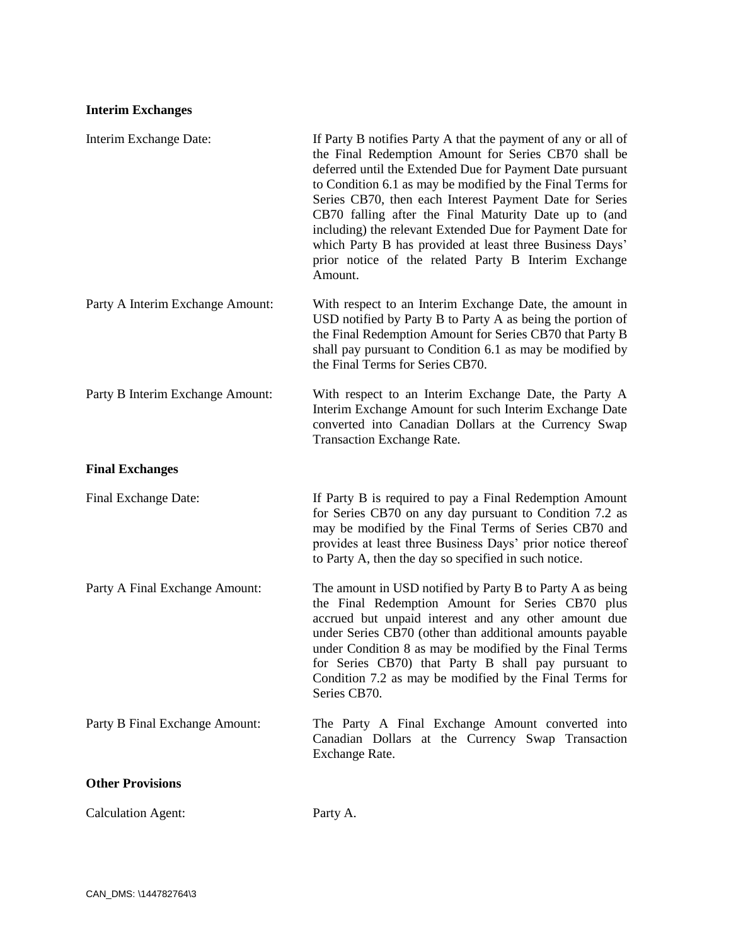# **Interim Exchanges**

| Interim Exchange Date:           | If Party B notifies Party A that the payment of any or all of<br>the Final Redemption Amount for Series CB70 shall be<br>deferred until the Extended Due for Payment Date pursuant<br>to Condition 6.1 as may be modified by the Final Terms for<br>Series CB70, then each Interest Payment Date for Series<br>CB70 falling after the Final Maturity Date up to (and<br>including) the relevant Extended Due for Payment Date for<br>which Party B has provided at least three Business Days'<br>prior notice of the related Party B Interim Exchange<br>Amount. |
|----------------------------------|------------------------------------------------------------------------------------------------------------------------------------------------------------------------------------------------------------------------------------------------------------------------------------------------------------------------------------------------------------------------------------------------------------------------------------------------------------------------------------------------------------------------------------------------------------------|
| Party A Interim Exchange Amount: | With respect to an Interim Exchange Date, the amount in<br>USD notified by Party B to Party A as being the portion of<br>the Final Redemption Amount for Series CB70 that Party B<br>shall pay pursuant to Condition 6.1 as may be modified by<br>the Final Terms for Series CB70.                                                                                                                                                                                                                                                                               |
| Party B Interim Exchange Amount: | With respect to an Interim Exchange Date, the Party A<br>Interim Exchange Amount for such Interim Exchange Date<br>converted into Canadian Dollars at the Currency Swap<br>Transaction Exchange Rate.                                                                                                                                                                                                                                                                                                                                                            |
| <b>Final Exchanges</b>           |                                                                                                                                                                                                                                                                                                                                                                                                                                                                                                                                                                  |
| Final Exchange Date:             | If Party B is required to pay a Final Redemption Amount<br>for Series CB70 on any day pursuant to Condition 7.2 as<br>may be modified by the Final Terms of Series CB70 and<br>provides at least three Business Days' prior notice thereof<br>to Party A, then the day so specified in such notice.                                                                                                                                                                                                                                                              |
| Party A Final Exchange Amount:   | The amount in USD notified by Party B to Party A as being<br>the Final Redemption Amount for Series CB70 plus<br>accrued but unpaid interest and any other amount due<br>under Series CB70 (other than additional amounts payable<br>under Condition 8 as may be modified by the Final Terms<br>for Series CB70) that Party B shall pay pursuant to<br>Condition 7.2 as may be modified by the Final Terms for<br>Series CB70.                                                                                                                                   |
| Party B Final Exchange Amount:   | The Party A Final Exchange Amount converted into<br>Canadian Dollars at the Currency Swap Transaction<br>Exchange Rate.                                                                                                                                                                                                                                                                                                                                                                                                                                          |
| <b>Other Provisions</b>          |                                                                                                                                                                                                                                                                                                                                                                                                                                                                                                                                                                  |
| <b>Calculation Agent:</b>        | Party A.                                                                                                                                                                                                                                                                                                                                                                                                                                                                                                                                                         |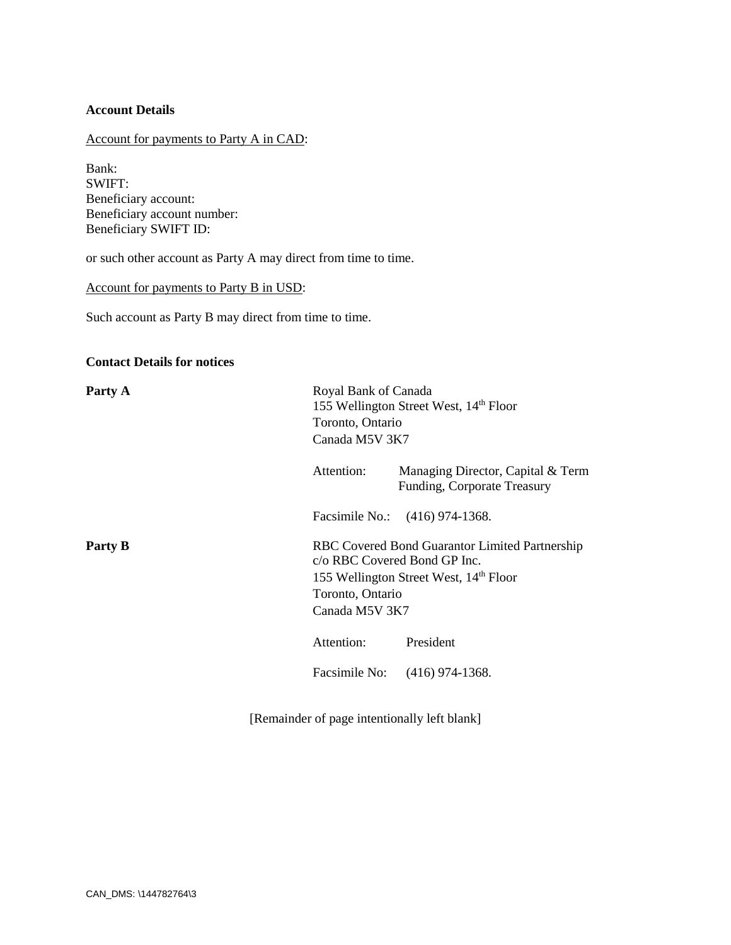## **Account Details**

# Account for payments to Party A in CAD:

Bank: SWIFT: Beneficiary account: Beneficiary account number: Beneficiary SWIFT ID:

or such other account as Party A may direct from time to time.

#### Account for payments to Party B in USD:

Such account as Party B may direct from time to time.

## **Contact Details for notices**

| Party A | Royal Bank of Canada<br>155 Wellington Street West, 14 <sup>th</sup> Floor<br>Toronto, Ontario<br>Canada M5V 3K7                                                           |                                                                  |  |
|---------|----------------------------------------------------------------------------------------------------------------------------------------------------------------------------|------------------------------------------------------------------|--|
|         | Attention:                                                                                                                                                                 | Managing Director, Capital & Term<br>Funding, Corporate Treasury |  |
|         |                                                                                                                                                                            | Facsimile No.: (416) 974-1368.                                   |  |
| Party B | RBC Covered Bond Guarantor Limited Partnership<br>c/o RBC Covered Bond GP Inc.<br>155 Wellington Street West, 14 <sup>th</sup> Floor<br>Toronto, Ontario<br>Canada M5V 3K7 |                                                                  |  |
|         | Attention:                                                                                                                                                                 | President                                                        |  |
|         |                                                                                                                                                                            | Facsimile No: (416) 974-1368.                                    |  |

[Remainder of page intentionally left blank]